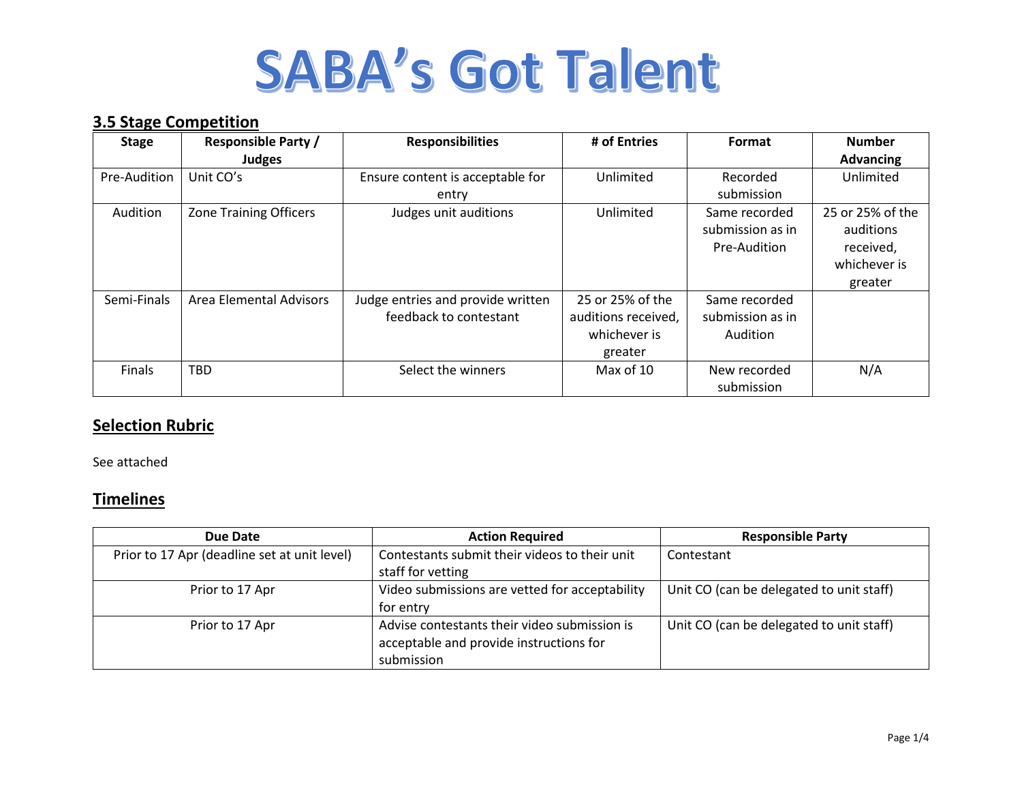## **3.5 Stage Competition**

| <b>Stage</b> | <b>Responsible Party /</b>    | <b>Responsibilities</b>           | # of Entries        | Format           | <b>Number</b>    |
|--------------|-------------------------------|-----------------------------------|---------------------|------------------|------------------|
|              | <b>Judges</b>                 |                                   |                     |                  | <b>Advancing</b> |
| Pre-Audition | Unit CO's                     | Ensure content is acceptable for  | Unlimited           | Recorded         | Unlimited        |
|              |                               | entry                             |                     | submission       |                  |
| Audition     | <b>Zone Training Officers</b> | Judges unit auditions             | Unlimited           | Same recorded    | 25 or 25% of the |
|              |                               |                                   |                     | submission as in | auditions        |
|              |                               |                                   |                     | Pre-Audition     | received,        |
|              |                               |                                   |                     |                  | whichever is     |
|              |                               |                                   |                     |                  | greater          |
| Semi-Finals  | Area Elemental Advisors       | Judge entries and provide written | 25 or 25% of the    | Same recorded    |                  |
|              |                               | feedback to contestant            | auditions received, | submission as in |                  |
|              |                               |                                   | whichever is        | Audition         |                  |
|              |                               |                                   | greater             |                  |                  |
| Finals       | <b>TBD</b>                    | Select the winners                | Max of 10           | New recorded     | N/A              |
|              |                               |                                   |                     | submission       |                  |

## **Selection Rubric**

See attached

### **Timelines**

| Due Date                                     | <b>Action Required</b>                         | <b>Responsible Party</b>                 |
|----------------------------------------------|------------------------------------------------|------------------------------------------|
| Prior to 17 Apr (deadline set at unit level) | Contestants submit their videos to their unit  | Contestant                               |
|                                              | staff for vetting                              |                                          |
| Prior to 17 Apr                              | Video submissions are vetted for acceptability | Unit CO (can be delegated to unit staff) |
|                                              | for entry                                      |                                          |
| Prior to 17 Apr                              | Advise contestants their video submission is   | Unit CO (can be delegated to unit staff) |
|                                              | acceptable and provide instructions for        |                                          |
|                                              | submission                                     |                                          |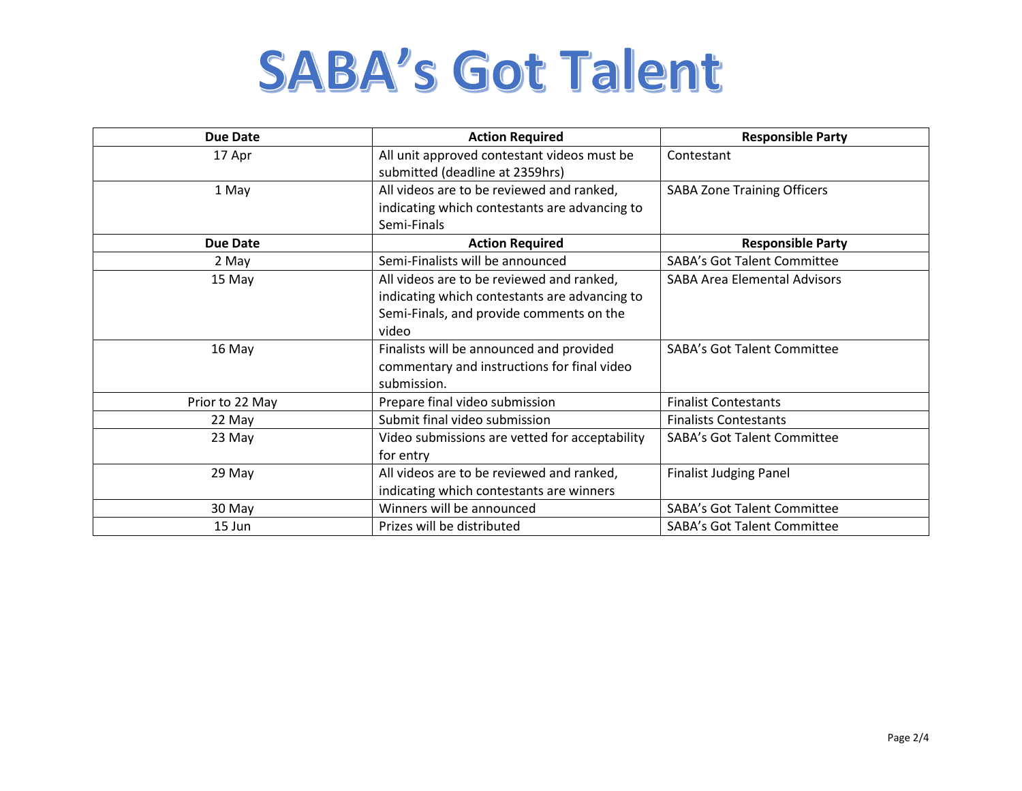| <b>Due Date</b> | <b>Action Required</b>                         | <b>Responsible Party</b>            |  |
|-----------------|------------------------------------------------|-------------------------------------|--|
| 17 Apr          | All unit approved contestant videos must be    | Contestant                          |  |
|                 | submitted (deadline at 2359hrs)                |                                     |  |
| 1 May           | All videos are to be reviewed and ranked,      | <b>SABA Zone Training Officers</b>  |  |
|                 | indicating which contestants are advancing to  |                                     |  |
|                 | Semi-Finals                                    |                                     |  |
| <b>Due Date</b> | <b>Action Required</b>                         | <b>Responsible Party</b>            |  |
| 2 May           | Semi-Finalists will be announced               | <b>SABA's Got Talent Committee</b>  |  |
| 15 May          | All videos are to be reviewed and ranked,      | <b>SABA Area Elemental Advisors</b> |  |
|                 | indicating which contestants are advancing to  |                                     |  |
|                 | Semi-Finals, and provide comments on the       |                                     |  |
|                 | video                                          |                                     |  |
| 16 May          | Finalists will be announced and provided       | <b>SABA's Got Talent Committee</b>  |  |
|                 | commentary and instructions for final video    |                                     |  |
|                 | submission.                                    |                                     |  |
| Prior to 22 May | Prepare final video submission                 | <b>Finalist Contestants</b>         |  |
| 22 May          | Submit final video submission                  | <b>Finalists Contestants</b>        |  |
| 23 May          | Video submissions are vetted for acceptability | <b>SABA's Got Talent Committee</b>  |  |
|                 | for entry                                      |                                     |  |
| 29 May          | All videos are to be reviewed and ranked,      | <b>Finalist Judging Panel</b>       |  |
|                 | indicating which contestants are winners       |                                     |  |
| 30 May          | Winners will be announced                      | <b>SABA's Got Talent Committee</b>  |  |
| 15 Jun          | Prizes will be distributed                     | <b>SABA's Got Talent Committee</b>  |  |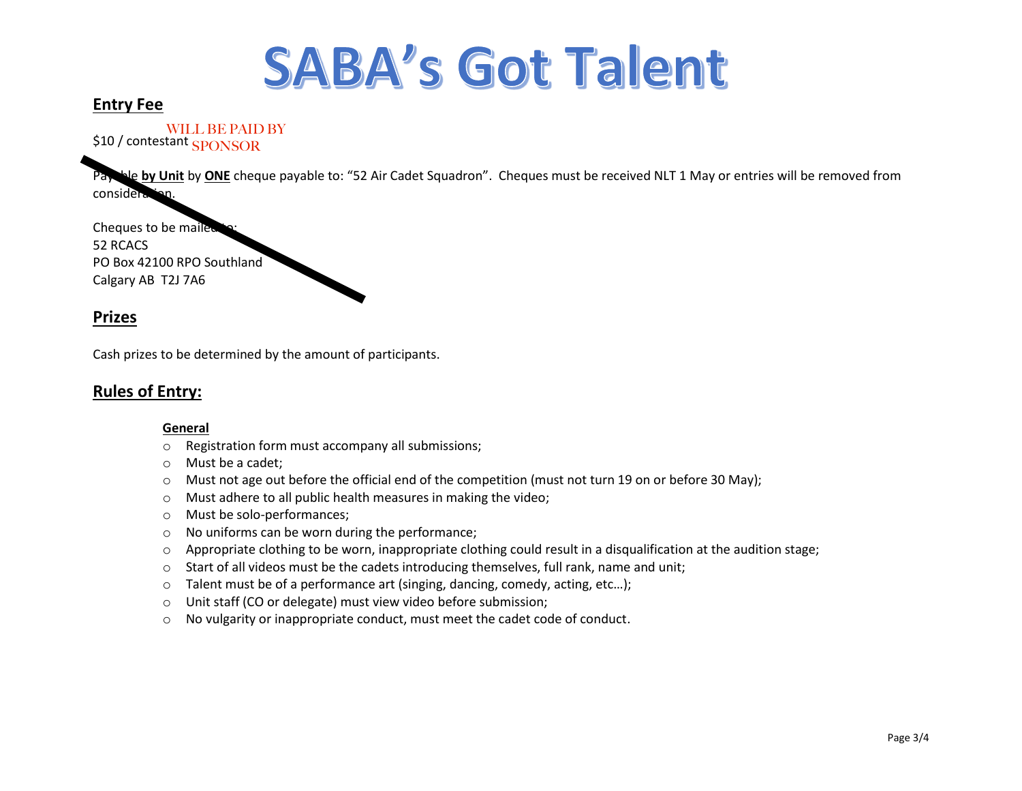### **Entry Fee**

\$10 / contestant WILL BE PAID BY SPONSOR

**Notable by Unit** by ONE cheque payable to: "52 Air Cadet Squadron". Cheques must be received NLT 1 May or entries will be removed from considera

Cheques to be mailed 52 RCACS PO Box 42100 RPO Southland Calgary AB T2J 7A6

#### **Prizes**

Cash prizes to be determined by the amount of participants.

### **Rules of Entry:**

#### **General**

- o Registration form must accompany all submissions;
- o Must be a cadet;
- $\circ$  Must not age out before the official end of the competition (must not turn 19 on or before 30 May);
- o Must adhere to all public health measures in making the video;
- o Must be solo-performances;
- o No uniforms can be worn during the performance;
- $\circ$  Appropriate clothing to be worn, inappropriate clothing could result in a disqualification at the audition stage;
- $\circ$  Start of all videos must be the cadets introducing themselves, full rank, name and unit;
- $\circ$  Talent must be of a performance art (singing, dancing, comedy, acting, etc...);
- o Unit staff (CO or delegate) must view video before submission;
- o No vulgarity or inappropriate conduct, must meet the cadet code of conduct.